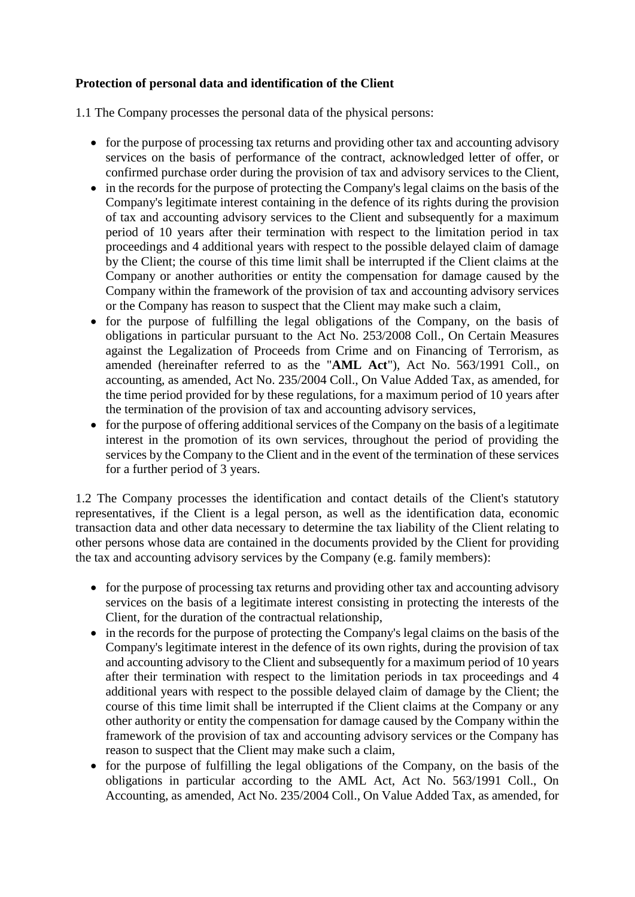## **Protection of personal data and identification of the Client**

1.1 The Company processes the personal data of the physical persons:

- for the purpose of processing tax returns and providing other tax and accounting advisory services on the basis of performance of the contract, acknowledged letter of offer, or confirmed purchase order during the provision of tax and advisory services to the Client,
- in the records for the purpose of protecting the Company's legal claims on the basis of the Company's legitimate interest containing in the defence of its rights during the provision of tax and accounting advisory services to the Client and subsequently for a maximum period of 10 years after their termination with respect to the limitation period in tax proceedings and 4 additional years with respect to the possible delayed claim of damage by the Client; the course of this time limit shall be interrupted if the Client claims at the Company or another authorities or entity the compensation for damage caused by the Company within the framework of the provision of tax and accounting advisory services or the Company has reason to suspect that the Client may make such a claim,
- for the purpose of fulfilling the legal obligations of the Company, on the basis of obligations in particular pursuant to the Act No. 253/2008 Coll., On Certain Measures against the Legalization of Proceeds from Crime and on Financing of Terrorism, as amended (hereinafter referred to as the "**AML Act**"), Act No. 563/1991 Coll., on accounting, as amended, Act No. 235/2004 Coll., On Value Added Tax, as amended, for the time period provided for by these regulations, for a maximum period of 10 years after the termination of the provision of tax and accounting advisory services,
- for the purpose of offering additional services of the Company on the basis of a legitimate interest in the promotion of its own services, throughout the period of providing the services by the Company to the Client and in the event of the termination of these services for a further period of 3 years.

1.2 The Company processes the identification and contact details of the Client's statutory representatives, if the Client is a legal person, as well as the identification data, economic transaction data and other data necessary to determine the tax liability of the Client relating to other persons whose data are contained in the documents provided by the Client for providing the tax and accounting advisory services by the Company (e.g. family members):

- for the purpose of processing tax returns and providing other tax and accounting advisory services on the basis of a legitimate interest consisting in protecting the interests of the Client, for the duration of the contractual relationship,
- in the records for the purpose of protecting the Company's legal claims on the basis of the Company's legitimate interest in the defence of its own rights, during the provision of tax and accounting advisory to the Client and subsequently for a maximum period of 10 years after their termination with respect to the limitation periods in tax proceedings and 4 additional years with respect to the possible delayed claim of damage by the Client; the course of this time limit shall be interrupted if the Client claims at the Company or any other authority or entity the compensation for damage caused by the Company within the framework of the provision of tax and accounting advisory services or the Company has reason to suspect that the Client may make such a claim,
- for the purpose of fulfilling the legal obligations of the Company, on the basis of the obligations in particular according to the AML Act, Act No. 563/1991 Coll., On Accounting, as amended, Act No. 235/2004 Coll., On Value Added Tax, as amended, for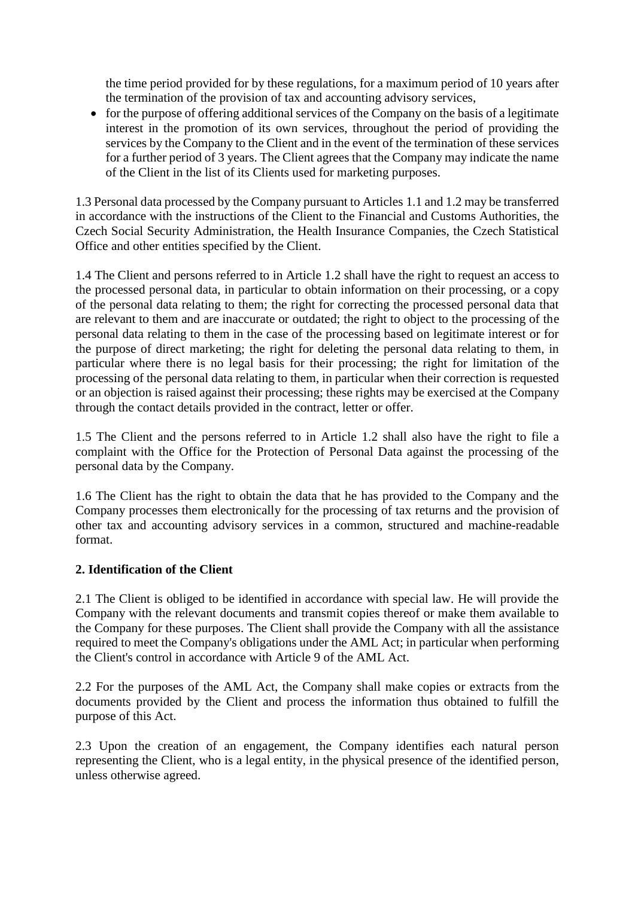the time period provided for by these regulations, for a maximum period of 10 years after the termination of the provision of tax and accounting advisory services,

• for the purpose of offering additional services of the Company on the basis of a legitimate interest in the promotion of its own services, throughout the period of providing the services by the Company to the Client and in the event of the termination of these services for a further period of 3 years. The Client agrees that the Company may indicate the name of the Client in the list of its Clients used for marketing purposes.

1.3 Personal data processed by the Company pursuant to Articles 1.1 and 1.2 may be transferred in accordance with the instructions of the Client to the Financial and Customs Authorities, the Czech Social Security Administration, the Health Insurance Companies, the Czech Statistical Office and other entities specified by the Client.

1.4 The Client and persons referred to in Article 1.2 shall have the right to request an access to the processed personal data, in particular to obtain information on their processing, or a copy of the personal data relating to them; the right for correcting the processed personal data that are relevant to them and are inaccurate or outdated; the right to object to the processing of the personal data relating to them in the case of the processing based on legitimate interest or for the purpose of direct marketing; the right for deleting the personal data relating to them, in particular where there is no legal basis for their processing; the right for limitation of the processing of the personal data relating to them, in particular when their correction is requested or an objection is raised against their processing; these rights may be exercised at the Company through the contact details provided in the contract, letter or offer.

1.5 The Client and the persons referred to in Article 1.2 shall also have the right to file a complaint with the Office for the Protection of Personal Data against the processing of the personal data by the Company.

1.6 The Client has the right to obtain the data that he has provided to the Company and the Company processes them electronically for the processing of tax returns and the provision of other tax and accounting advisory services in a common, structured and machine-readable format.

## **2. Identification of the Client**

2.1 The Client is obliged to be identified in accordance with special law. He will provide the Company with the relevant documents and transmit copies thereof or make them available to the Company for these purposes. The Client shall provide the Company with all the assistance required to meet the Company's obligations under the AML Act; in particular when performing the Client's control in accordance with Article 9 of the AML Act.

2.2 For the purposes of the AML Act, the Company shall make copies or extracts from the documents provided by the Client and process the information thus obtained to fulfill the purpose of this Act.

2.3 Upon the creation of an engagement, the Company identifies each natural person representing the Client, who is a legal entity, in the physical presence of the identified person, unless otherwise agreed.